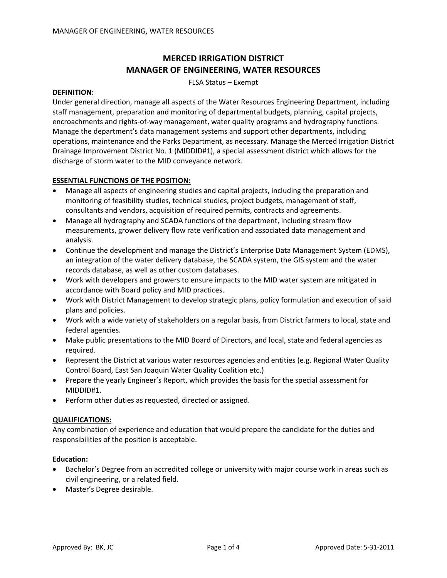# **MERCED IRRIGATION DISTRICT MANAGER OF ENGINEERING, WATER RESOURCES**

FLSA Status – Exempt

#### **DEFINITION:**

Under general direction, manage all aspects of the Water Resources Engineering Department, including staff management, preparation and monitoring of departmental budgets, planning, capital projects, encroachments and rights‐of‐way management, water quality programs and hydrography functions. Manage the department's data management systems and support other departments, including operations, maintenance and the Parks Department, as necessary. Manage the Merced Irrigation District Drainage Improvement District No. 1 (MIDDID#1), a special assessment district which allows for the discharge of storm water to the MID conveyance network.

#### **ESSENTIAL FUNCTIONS OF THE POSITION:**

- Manage all aspects of engineering studies and capital projects, including the preparation and monitoring of feasibility studies, technical studies, project budgets, management of staff, consultants and vendors, acquisition of required permits, contracts and agreements.
- Manage all hydrography and SCADA functions of the department, including stream flow measurements, grower delivery flow rate verification and associated data management and analysis.
- Continue the development and manage the District's Enterprise Data Management System (EDMS), an integration of the water delivery database, the SCADA system, the GIS system and the water records database, as well as other custom databases.
- Work with developers and growers to ensure impacts to the MID water system are mitigated in accordance with Board policy and MID practices.
- Work with District Management to develop strategic plans, policy formulation and execution of said plans and policies.
- Work with a wide variety of stakeholders on a regular basis, from District farmers to local, state and federal agencies.
- Make public presentations to the MID Board of Directors, and local, state and federal agencies as required.
- Represent the District at various water resources agencies and entities (e.g. Regional Water Quality Control Board, East San Joaquin Water Quality Coalition etc.)
- Prepare the yearly Engineer's Report, which provides the basis for the special assessment for MIDDID#1.
- Perform other duties as requested, directed or assigned.

#### **QUALIFICATIONS:**

Any combination of experience and education that would prepare the candidate for the duties and responsibilities of the position is acceptable.

#### **Education:**

- Bachelor's Degree from an accredited college or university with major course work in areas such as civil engineering, or a related field.
- Master's Degree desirable.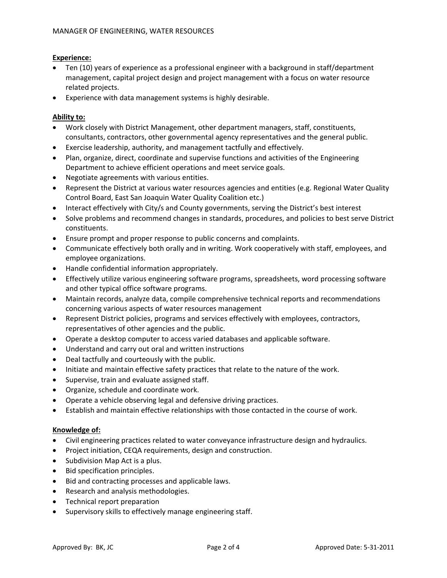## **Experience:**

- Ten (10) years of experience as a professional engineer with a background in staff/department management, capital project design and project management with a focus on water resource related projects.
- Experience with data management systems is highly desirable.

## **Ability to:**

- Work closely with District Management, other department managers, staff, constituents, consultants, contractors, other governmental agency representatives and the general public.
- Exercise leadership, authority, and management tactfully and effectively.
- Plan, organize, direct, coordinate and supervise functions and activities of the Engineering Department to achieve efficient operations and meet service goals.
- Negotiate agreements with various entities.
- Represent the District at various water resources agencies and entities (e.g. Regional Water Quality Control Board, East San Joaquin Water Quality Coalition etc.)
- Interact effectively with City/s and County governments, serving the District's best interest
- Solve problems and recommend changes in standards, procedures, and policies to best serve District constituents.
- Ensure prompt and proper response to public concerns and complaints.
- Communicate effectively both orally and in writing. Work cooperatively with staff, employees, and employee organizations.
- Handle confidential information appropriately.
- Effectively utilize various engineering software programs, spreadsheets, word processing software and other typical office software programs.
- Maintain records, analyze data, compile comprehensive technical reports and recommendations concerning various aspects of water resources management
- Represent District policies, programs and services effectively with employees, contractors, representatives of other agencies and the public.
- Operate a desktop computer to access varied databases and applicable software.
- Understand and carry out oral and written instructions
- Deal tactfully and courteously with the public.
- Initiate and maintain effective safety practices that relate to the nature of the work.
- Supervise, train and evaluate assigned staff.
- Organize, schedule and coordinate work.
- Operate a vehicle observing legal and defensive driving practices.
- Establish and maintain effective relationships with those contacted in the course of work.

## **Knowledge of:**

- Civil engineering practices related to water conveyance infrastructure design and hydraulics.
- Project initiation, CEQA requirements, design and construction.
- Subdivision Map Act is a plus.
- Bid specification principles.
- Bid and contracting processes and applicable laws.
- Research and analysis methodologies.
- Technical report preparation
- Supervisory skills to effectively manage engineering staff.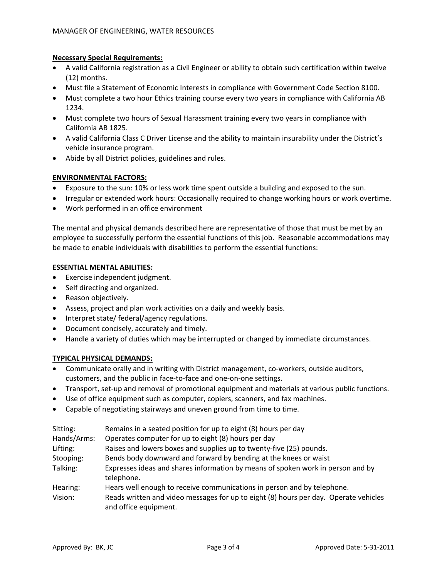## **Necessary Special Requirements:**

- A valid California registration as a Civil Engineer or ability to obtain such certification within twelve (12) months.
- Must file a Statement of Economic Interests in compliance with Government Code Section 8100.
- Must complete a two hour Ethics training course every two years in compliance with California AB 1234.
- Must complete two hours of Sexual Harassment training every two years in compliance with California AB 1825.
- A valid California Class C Driver License and the ability to maintain insurability under the District's vehicle insurance program.
- Abide by all District policies, guidelines and rules.

## **ENVIRONMENTAL FACTORS:**

- Exposure to the sun: 10% or less work time spent outside a building and exposed to the sun.
- Irregular or extended work hours: Occasionally required to change working hours or work overtime.
- Work performed in an office environment

The mental and physical demands described here are representative of those that must be met by an employee to successfully perform the essential functions of this job. Reasonable accommodations may be made to enable individuals with disabilities to perform the essential functions:

#### **ESSENTIAL MENTAL ABILITIES:**

- Exercise independent judgment.
- Self directing and organized.
- Reason objectively.
- Assess, project and plan work activities on a daily and weekly basis.
- Interpret state/ federal/agency regulations.
- Document concisely, accurately and timely.
- Handle a variety of duties which may be interrupted or changed by immediate circumstances.

## **TYPICAL PHYSICAL DEMANDS:**

- Communicate orally and in writing with District management, co‐workers, outside auditors, customers, and the public in face‐to‐face and one‐on‐one settings.
- Transport, set-up and removal of promotional equipment and materials at various public functions.
- Use of office equipment such as computer, copiers, scanners, and fax machines.
- Capable of negotiating stairways and uneven ground from time to time.

| Sitting:    | Remains in a seated position for up to eight (8) hours per day                                                |
|-------------|---------------------------------------------------------------------------------------------------------------|
| Hands/Arms: | Operates computer for up to eight (8) hours per day                                                           |
| Lifting:    | Raises and lowers boxes and supplies up to twenty-five (25) pounds.                                           |
| Stooping:   | Bends body downward and forward by bending at the knees or waist                                              |
| Talking:    | Expresses ideas and shares information by means of spoken work in person and by<br>telephone.                 |
| Hearing:    | Hears well enough to receive communications in person and by telephone.                                       |
| Vision:     | Reads written and video messages for up to eight (8) hours per day. Operate vehicles<br>and office equipment. |